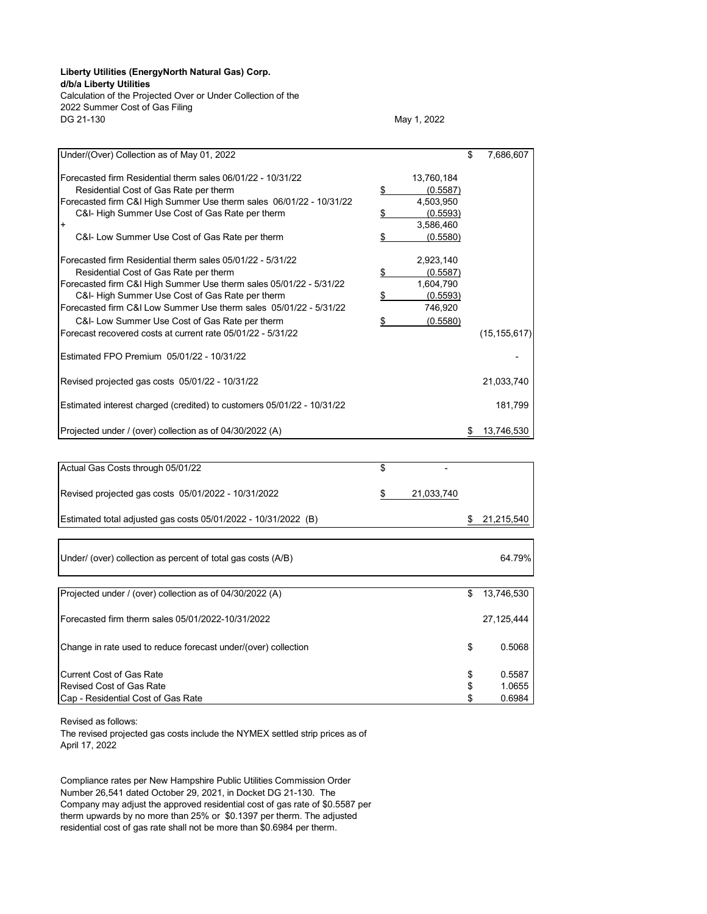## **Liberty Utilities (EnergyNorth Natural Gas) Corp.**

**d/b/a Liberty Utilities**

Calculation of the Projected Over or Under Collection of the 2022 Summer Cost of Gas Filing

May 1, 2022

| Under/(Over) Collection as of May 01, 2022                             |    |                       | \$<br>7,686,607  |
|------------------------------------------------------------------------|----|-----------------------|------------------|
| Forecasted firm Residential therm sales 06/01/22 - 10/31/22            |    |                       |                  |
| Residential Cost of Gas Rate per therm                                 |    | 13,760,184            |                  |
| Forecasted firm C&I High Summer Use therm sales 06/01/22 - 10/31/22    | \$ | (0.5587)<br>4,503,950 |                  |
| C&I- High Summer Use Cost of Gas Rate per therm                        | \$ | (0.5593)              |                  |
| $\ddot{}$                                                              |    | 3,586,460             |                  |
| C&I- Low Summer Use Cost of Gas Rate per therm                         | \$ | (0.5580)              |                  |
|                                                                        |    |                       |                  |
| Forecasted firm Residential therm sales 05/01/22 - 5/31/22             |    | 2,923,140             |                  |
| Residential Cost of Gas Rate per therm                                 |    | (0.5587)              |                  |
|                                                                        | \$ | 1,604,790             |                  |
| Forecasted firm C&I High Summer Use therm sales 05/01/22 - 5/31/22     |    |                       |                  |
| C&I- High Summer Use Cost of Gas Rate per therm                        | \$ | (0.5593)              |                  |
| Forecasted firm C&I Low Summer Use therm sales 05/01/22 - 5/31/22      |    | 746,920               |                  |
| C&I- Low Summer Use Cost of Gas Rate per therm                         | \$ | (0.5580)              |                  |
| Forecast recovered costs at current rate 05/01/22 - 5/31/22            |    |                       | (15, 155, 617)   |
|                                                                        |    |                       |                  |
| Estimated FPO Premium 05/01/22 - 10/31/22                              |    |                       |                  |
|                                                                        |    |                       |                  |
| Revised projected gas costs 05/01/22 - 10/31/22                        |    |                       | 21,033,740       |
|                                                                        |    |                       |                  |
| Estimated interest charged (credited) to customers 05/01/22 - 10/31/22 |    |                       | 181,799          |
|                                                                        |    |                       |                  |
| Projected under / (over) collection as of 04/30/2022 (A)               |    |                       | \$<br>13,746,530 |
|                                                                        |    |                       |                  |
|                                                                        |    |                       |                  |
| Actual Gas Costs through 05/01/22                                      | \$ |                       |                  |
|                                                                        |    |                       |                  |
|                                                                        |    |                       |                  |
| Revised projected gas costs 05/01/2022 - 10/31/2022                    | S  | 21,033,740            |                  |
|                                                                        |    |                       |                  |
| Estimated total adjusted gas costs 05/01/2022 - 10/31/2022 (B)         |    |                       | \$<br>21,215,540 |
|                                                                        |    |                       |                  |
|                                                                        |    |                       |                  |
| Under/ (over) collection as percent of total gas costs (A/B)           |    |                       | 64.79%           |
|                                                                        |    |                       |                  |
|                                                                        |    |                       |                  |
| Projected under / (over) collection as of 04/30/2022 (A)               |    |                       | \$<br>13,746,530 |
|                                                                        |    |                       |                  |
| Forecasted firm therm sales 05/01/2022-10/31/2022                      |    |                       | 27,125,444       |
|                                                                        |    |                       |                  |
|                                                                        |    |                       |                  |
| Change in rate used to reduce forecast under/(over) collection         |    |                       | \$<br>0.5068     |
|                                                                        |    |                       |                  |
| <b>Current Cost of Gas Rate</b>                                        |    |                       | \$<br>0.5587     |
| Revised Cost of Gas Rate                                               |    |                       | \$<br>1.0655     |
| Cap - Residential Cost of Gas Rate                                     |    |                       | \$<br>0.6984     |
|                                                                        |    |                       |                  |

Revised as follows:

The revised projected gas costs include the NYMEX settled strip prices as of April 17, 2022

Compliance rates per New Hampshire Public Utilities Commission Order Number 26,541 dated October 29, 2021, in Docket DG 21-130. The Company may adjust the approved residential cost of gas rate of \$0.5587 per therm upwards by no more than 25% or \$0.1397 per therm. The adjusted residential cost of gas rate shall not be more than \$0.6984 per therm.